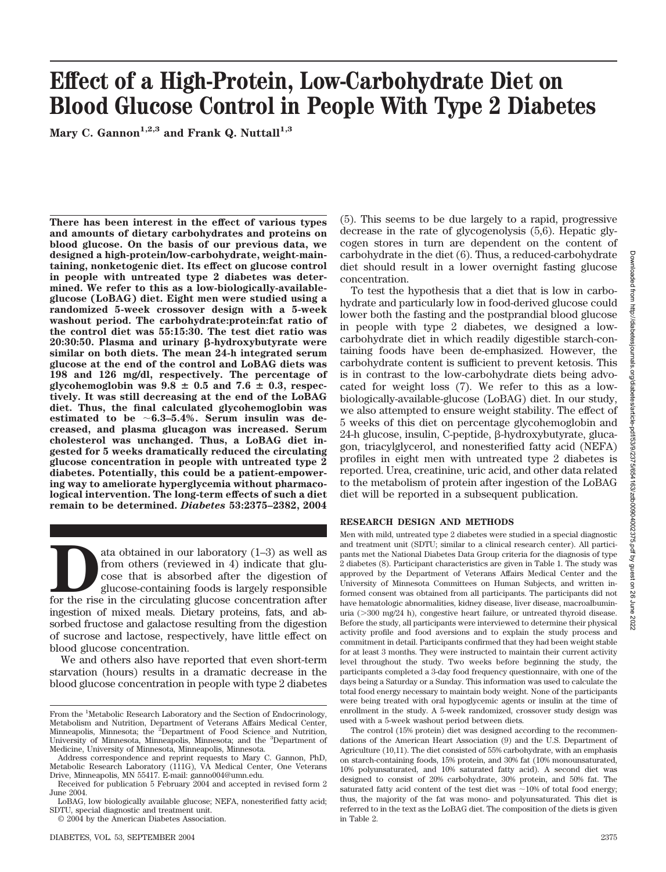# **Effect of a High-Protein, Low-Carbohydrate Diet on Blood Glucose Control in People With Type 2 Diabetes**

Mary C. Gannon<sup>1,2,3</sup> and Frank Q. Nuttall<sup>1,3</sup>

**There has been interest in the effect of various types and amounts of dietary carbohydrates and proteins on blood glucose. On the basis of our previous data, we designed a high-protein/low-carbohydrate, weight-maintaining, nonketogenic diet. Its effect on glucose control in people with untreated type 2 diabetes was determined. We refer to this as a low-biologically-availableglucose (LoBAG) diet. Eight men were studied using a randomized 5-week crossover design with a 5-week washout period. The carbohydrate:protein:fat ratio of the control diet was 55:15:30. The test diet ratio was 20:30:50. Plasma and urinary β-hydroxybutyrate were similar on both diets. The mean 24-h integrated serum glucose at the end of the control and LoBAG diets was 198 and 126 mg/dl, respectively. The percentage of** glycohemoglobin was  $9.8 \pm 0.5$  and  $7.6 \pm 0.3$ , respec**tively. It was still decreasing at the end of the LoBAG diet. Thus, the final calculated glycohemoglobin was** estimated to be  $\sim 6.3-5.4\%$ . Serum insulin was de**creased, and plasma glucagon was increased. Serum cholesterol was unchanged. Thus, a LoBAG diet ingested for 5 weeks dramatically reduced the circulating glucose concentration in people with untreated type 2 diabetes. Potentially, this could be a patient-empowering way to ameliorate hyperglycemia without pharmacological intervention. The long-term effects of such a diet remain to be determined.** *Diabetes* **53:2375–2382, 2004**

ata obtained in our laboratory (1–3) as well as<br>from others (reviewed in 4) indicate that glu-<br>cose that is absorbed after the digestion of<br>glucose-containing foods is largely responsible<br>for the rise in the circulating gl from others (reviewed in 4) indicate that glucose that is absorbed after the digestion of glucose-containing foods is largely responsible ingestion of mixed meals. Dietary proteins, fats, and absorbed fructose and galactose resulting from the digestion of sucrose and lactose, respectively, have little effect on blood glucose concentration.

We and others also have reported that even short-term starvation (hours) results in a dramatic decrease in the blood glucose concentration in people with type 2 diabetes (5). This seems to be due largely to a rapid, progressive decrease in the rate of glycogenolysis (5,6). Hepatic glycogen stores in turn are dependent on the content of carbohydrate in the diet (6). Thus, a reduced-carbohydrate diet should result in a lower overnight fasting glucose concentration.

To test the hypothesis that a diet that is low in carbohydrate and particularly low in food-derived glucose could lower both the fasting and the postprandial blood glucose in people with type 2 diabetes, we designed a lowcarbohydrate diet in which readily digestible starch-containing foods have been de-emphasized. However, the carbohydrate content is sufficient to prevent ketosis. This is in contrast to the low-carbohydrate diets being advocated for weight loss (7). We refer to this as a lowbiologically-available-glucose (LoBAG) diet. In our study, we also attempted to ensure weight stability. The effect of 5 weeks of this diet on percentage glycohemoglobin and 24-h glucose, insulin, C-peptide,  $\beta$ -hydroxybutyrate, glucagon, triacylglycerol, and nonesterified fatty acid (NEFA) profiles in eight men with untreated type 2 diabetes is reported. Urea, creatinine, uric acid, and other data related to the metabolism of protein after ingestion of the LoBAG diet will be reported in a subsequent publication.

#### **RESEARCH DESIGN AND METHODS**

Men with mild, untreated type 2 diabetes were studied in a special diagnostic and treatment unit (SDTU; similar to a clinical research center). All participants met the National Diabetes Data Group criteria for the diagnosis of type 2 diabetes (8). Participant characteristics are given in Table 1. The study was approved by the Department of Veterans Affairs Medical Center and the University of Minnesota Committees on Human Subjects, and written informed consent was obtained from all participants. The participants did not have hematologic abnormalities, kidney disease, liver disease, macroalbuminuria (300 mg/24 h), congestive heart failure, or untreated thyroid disease. Before the study, all participants were interviewed to determine their physical activity profile and food aversions and to explain the study process and commitment in detail. Participants confirmed that they had been weight stable for at least 3 months. They were instructed to maintain their current activity level throughout the study. Two weeks before beginning the study, the participants completed a 3-day food frequency questionnaire, with one of the days being a Saturday or a Sunday. This information was used to calculate the total food energy necessary to maintain body weight. None of the participants were being treated with oral hypoglycemic agents or insulin at the time of enrollment in the study. A 5-week randomized, crossover study design was used with a 5-week washout period between diets.

The control (15% protein) diet was designed according to the recommendations of the American Heart Association (9) and the U.S. Department of Agriculture (10,11). The diet consisted of 55% carbohydrate, with an emphasis on starch-containing foods, 15% protein, and 30% fat (10% monounsaturated, 10% polyunsaturated, and 10% saturated fatty acid). A second diet was designed to consist of 20% carbohydrate, 30% protein, and 50% fat. The saturated fatty acid content of the test diet was  $\sim$ 10% of total food energy; thus, the majority of the fat was mono- and polyunsaturated. This diet is referred to in the text as the LoBAG diet. The composition of the diets is given in Table 2.

From the <sup>1</sup>Metabolic Research Laboratory and the Section of Endocrinology, Metabolism and Nutrition, Department of Veterans Affairs Medical Center,<br>Minneapolis, Minnesota; the <sup>2</sup>Department of Food Science and Nutrition, University of Minnesota, Minneapolis, Minnesota; and the <sup>3</sup>Department of Medicine, University of Minnesota, Minneapolis, Minnesota.

Address correspondence and reprint requests to Mary C. Gannon, PhD, Metabolic Research Laboratory (111G), VA Medical Center, One Veterans Drive, Minneapolis, MN 55417. E-mail: ganno004@umn.edu.

Received for publication 5 February 2004 and accepted in revised form 2 June 2004.

LoBAG, low biologically available glucose; NEFA, nonesterified fatty acid; SDTU, special diagnostic and treatment unit.

<sup>© 2004</sup> by the American Diabetes Association.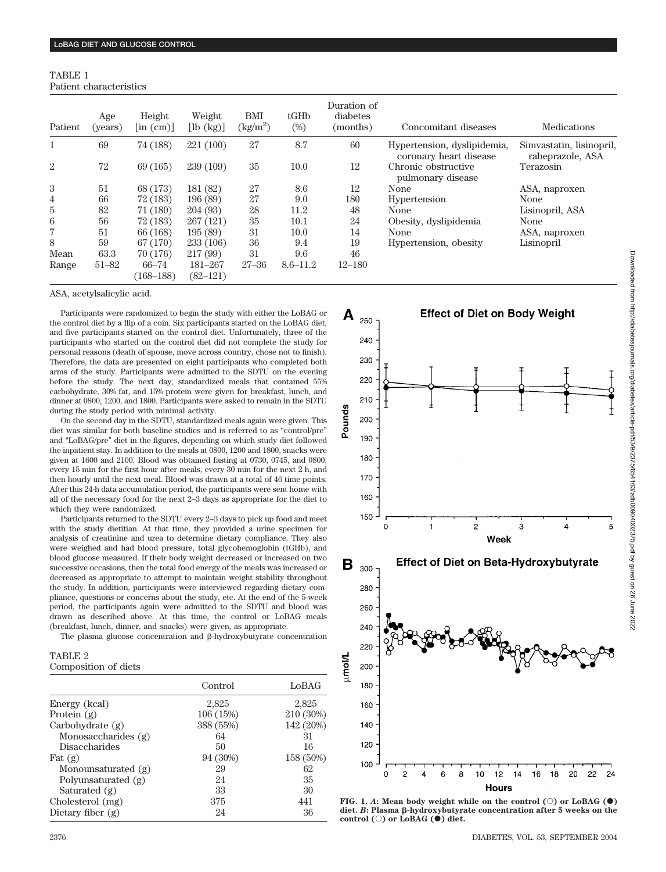| TABLE 1 |                         |
|---------|-------------------------|
|         | Patient characteristics |

| Patient        | Age<br>(years) | Height<br>$\left  \text{in (cm)} \right $ | Weight<br>$[\mathrm{lb}(kg)]$ | BMI<br>$\text{kg/m}^2$ | tGHD<br>$(\%)$ | Duration of<br>diabetes<br>(months) | Concomitant diseases                                  | <b>Medications</b>                           |
|----------------|----------------|-------------------------------------------|-------------------------------|------------------------|----------------|-------------------------------------|-------------------------------------------------------|----------------------------------------------|
| 1              | 69             | 74 (188)                                  | 221 (100)                     | 27                     | 8.7            | 60                                  | Hypertension, dyslipidemia,<br>coronary heart disease | Simvastatin, lisinopril,<br>rabeprazole, ASA |
| $\overline{2}$ | 72             | 69 (165)                                  | 239 (109)                     | 35                     | 10.0           | 12                                  | Chronic obstructive<br>pulmonary disease              | Terazosin                                    |
| 3              | 51             | 68 (173)                                  | 181 (82)                      | 27                     | 8.6            | 12                                  | None                                                  | ASA, naproxen                                |
| 4              | 66             | 72 (183)                                  | 196(89)                       | 27                     | 9.0            | 180                                 | Hypertension                                          | None                                         |
| 5              | 82             | 71(180)                                   | 204 (93)                      | 28                     | 11.2           | 48                                  | None                                                  | Lisinopril, ASA                              |
| 6              | 56             | 72 (183)                                  | 267 (121)                     | 35                     | 10.1           | 24                                  | Obesity, dyslipidemia                                 | None                                         |
| 7              | 51             | 66 (168)                                  | 195(89)                       | 31                     | 10.0           | 14                                  | None                                                  | ASA, naproxen                                |
| 8              | 59             | 67 (170)                                  | 233 (106)                     | 36                     | 9.4            | 19                                  | Hypertension, obesity                                 | Lisinopril                                   |
| Mean           | 63.3           | 70 (176)                                  | 217 (99)                      | 31                     | 9.6            | 46                                  |                                                       |                                              |
| Range          | $51 - 82$      | $66 - 74$                                 | 181-267                       | $27 - 36$              | $8.6 - 11.2$   | $12 - 180$                          |                                                       |                                              |
|                |                | $(168 - 188)$                             | $(82 - 121)$                  |                        |                |                                     |                                                       |                                              |

ASA, acetylsalicylic acid.

Participants were randomized to begin the study with either the LoBAG or the control diet by a flip of a coin. Six participants started on the LoBAG diet, and five participants started on the control diet. Unfortunately, three of the participants who started on the control diet did not complete the study for personal reasons (death of spouse, move across country, chose not to finish). Therefore, the data are presented on eight participants who completed both arms of the study. Participants were admitted to the SDTU on the evening before the study. The next day, standardized meals that contained 55% carbohydrate, 30% fat, and 15% protein were given for breakfast, lunch, and dinner at 0800, 1200, and 1800. Participants were asked to remain in the SDTU during the study period with minimal activity.

On the second day in the SDTU, standardized meals again were given. This diet was similar for both baseline studies and is referred to as "control/pre" and "LoBAG/pre" diet in the figures, depending on which study diet followed the inpatient stay. In addition to the meals at 0800, 1200 and 1800, snacks were given at 1600 and 2100. Blood was obtained fasting at 0730, 0745, and 0800, every 15 min for the first hour after meals, every 30 min for the next 2 h, and then hourly until the next meal. Blood was drawn at a total of 46 time points. After this 24-h data accumulation period, the participants were sent home with all of the necessary food for the next 2–3 days as appropriate for the diet to which they were randomized.

Participants returned to the SDTU every 2–3 days to pick up food and meet with the study dietitian. At that time, they provided a urine specimen for analysis of creatinine and urea to determine dietary compliance. They also were weighed and had blood pressure, total glycohemoglobin (tGHb), and blood glucose measured. If their body weight decreased or increased on two successive occasions, then the total food energy of the meals was increased or decreased as appropriate to attempt to maintain weight stability throughout the study. In addition, participants were interviewed regarding dietary compliance, questions or concerns about the study, etc. At the end of the 5-week period, the participants again were admitted to the SDTU and blood was drawn as described above. At this time, the control or LoBAG meals (breakfast, lunch, dinner, and snacks) were given, as appropriate.

The plasma glucose concentration and  $\beta$ -hydroxybutyrate concentration

## TABLE 2 Composition of diets

|                      | Control   | LoBAG     |
|----------------------|-----------|-----------|
| Energy (kcal)        | 2,825     | 2,825     |
| Protein $(g)$        | 106 (15%) | 210 (30%) |
| Carbohydrate $(g)$   | 388 (55%) | 142 (20%) |
| Monosaccharides (g)  | 64        | 31        |
| <b>Disaccharides</b> | 50        | 16        |
| Fat $(g)$            | 94 (30%)  | 158 (50%) |
| Monounsaturated (g)  | 29        | 62        |
| Polyunsaturated (g)  | 24        | 35        |
| Saturated (g)        | 33        | 30        |
| Cholesterol (mg)     | 375       | 441       |
| Dietary fiber $(g)$  | 24        | 36        |



**FIG.** 1. *A*: Mean body weight while on the control  $(\circ)$  or LoBAG  $(\bullet)$ diet. *B*: Plasma  $\beta$ -hydroxybutyrate concentration after 5 weeks on the **control (**E**) or LoBAG (**F**) diet.**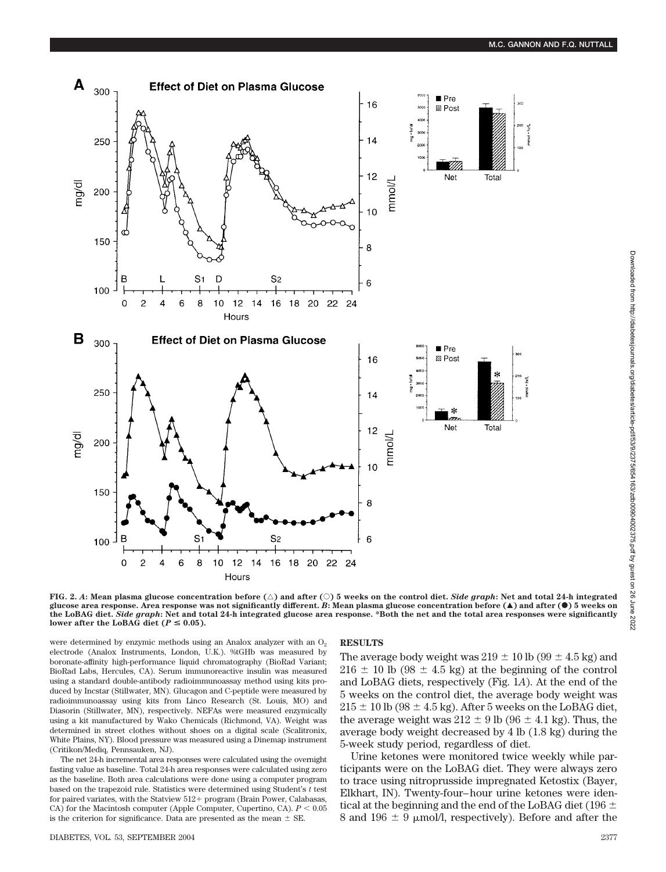

**FIG. 2. A: Mean plasma glucose concentration before (** $\triangle$ **) and after (** $\bigcirc$ **) 5 weeks on the control diet.** *Side graph***: Net and total 24-h integrated glucose area response. Area response was not significantly different.** *B***: Mean plasma glucose concentration before (**Œ**) and after (**F**) 5 weeks on the LoBAG diet.** *Side graph***: Net and total 24-h integrated glucose area response. \*Both the net and the total area responses were significantly** lower after the LoBAG diet ( $P \leq 0.05$ ).

were determined by enzymic methods using an Analox analyzer with an  $O<sub>2</sub>$ electrode (Analox Instruments, London, U.K.). %tGHb was measured by boronate-affinity high-performance liquid chromatography (BioRad Variant; BioRad Labs, Hercules, CA). Serum immunoreactive insulin was measured using a standard double-antibody radioimmunoassay method using kits produced by Incstar (Stillwater, MN). Glucagon and C-peptide were measured by radioimmunoassay using kits from Linco Research (St. Louis, MO) and Diasorin (Stillwater, MN), respectively. NEFAs were measured enzymically using a kit manufactured by Wako Chemicals (Richmond, VA). Weight was determined in street clothes without shoes on a digital scale (Scalitronix, White Plains, NY). Blood pressure was measured using a Dinemap instrument (Critikon/Mediq, Pennsauken, NJ).

The net 24-h incremental area responses were calculated using the overnight fasting value as baseline. Total 24-h area responses were calculated using zero as the baseline. Both area calculations were done using a computer program based on the trapezoid rule. Statistics were determined using Student's *t* test for paired variates, with the Statview 512+ program (Brain Power, Calabasas, CA) for the Macintosh computer (Apple Computer, Cupertino, CA).  $P < 0.05$ is the criterion for significance. Data are presented as the mean  $\pm$  SE.

## **RESULTS**

The average body weight was  $219 \pm 10$  lb ( $99 \pm 4.5$  kg) and  $216 \pm 10$  lb (98  $\pm$  4.5 kg) at the beginning of the control and LoBAG diets, respectively (Fig. 1*A*). At the end of the 5 weeks on the control diet, the average body weight was  $215 \pm 10$  lb (98  $\pm$  4.5 kg). After 5 weeks on the LoBAG diet, the average weight was  $212 \pm 9$  lb (96  $\pm$  4.1 kg). Thus, the average body weight decreased by 4 lb (1.8 kg) during the 5-week study period, regardless of diet.

Urine ketones were monitored twice weekly while participants were on the LoBAG diet. They were always zero to trace using nitroprusside impregnated Ketostix (Bayer, Elkhart, IN). Twenty-four–hour urine ketones were identical at the beginning and the end of the LoBAG diet (196  $\pm$ 8 and 196  $\pm$  9  $\mu$ mol/l, respectively). Before and after the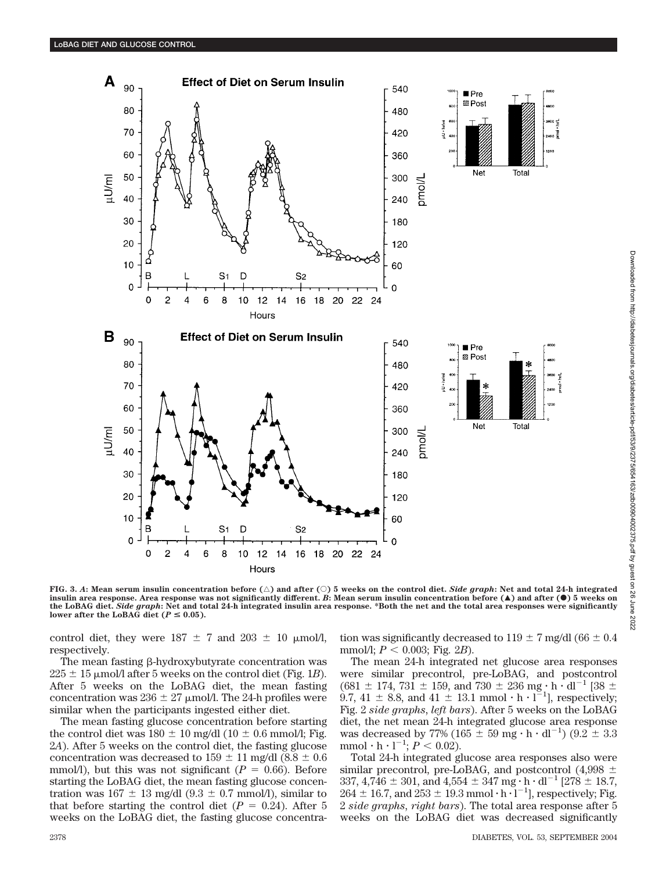

**FIG.** 3. A: Mean serum insulin concentration before  $(\triangle)$  and after  $(\heartsuit)$  5 weeks on the control diet. Side graph: Net and total 24-h integrated **insulin area response. Area response was not significantly different.** *B***: Mean serum insulin concentration before (**Œ**) and after (**F**) 5 weeks on the LoBAG diet.** *Side graph***: Net and total 24-h integrated insulin area response. \*Both the net and the total area responses were significantly** lower after the LoBAG diet ( $P \le 0.05$ ).

control diet, they were  $187 \pm 7$  and  $203 \pm 10$  µmol/l, respectively.

The mean fasting  $\beta$ -hydroxybutyrate concentration was  $225 \pm 15$  µmol/l after 5 weeks on the control diet (Fig. 1*B*). After 5 weeks on the LoBAG diet, the mean fasting concentration was  $236 \pm 27$  µmol/l. The 24-h profiles were similar when the participants ingested either diet.

The mean fasting glucose concentration before starting the control diet was  $180 \pm 10$  mg/dl ( $10 \pm 0.6$  mmol/l; Fig. 2*A*). After 5 weeks on the control diet, the fasting glucose concentration was decreased to  $159 \pm 11$  mg/dl (8.8  $\pm$  0.6 mmol/l), but this was not significant ( $P = 0.66$ ). Before starting the LoBAG diet, the mean fasting glucose concentration was  $167 \pm 13$  mg/dl  $(9.3 \pm 0.7$  mmol/l), similar to that before starting the control diet  $(P = 0.24)$ . After 5 weeks on the LoBAG diet, the fasting glucose concentration was significantly decreased to  $119 \pm 7$  mg/dl (66  $\pm$  0.4 mmol/l;  $P < 0.003$ ; Fig. 2*B*).

The mean 24-h integrated net glucose area responses were similar precontrol, pre-LoBAG, and postcontrol  $(681 \pm 174, 731 \pm 159, \text{ and } 730 \pm 236 \text{ mg} \cdot \text{h} \cdot \text{dl}^{-1} [38 \pm 174, 731 \pm 159, \text{ and } 730 \pm 236 \text{ mg} \cdot \text{h} \cdot \text{dl}^{-1}]$ 9.7, 41  $\pm$  8.8, and 41  $\pm$  13.1 mmol  $\cdot$  h  $\cdot$  l<sup>-1</sup>], respectively; Fig. 2 *side graphs*, *left bars*). After 5 weeks on the LoBAG diet, the net mean 24-h integrated glucose area response was decreased by 77% (165  $\pm$  59 mg  $\cdot$  h  $\cdot$  dl<sup>-1</sup>) (9.2  $\pm$  3.3  $\text{mmol} \cdot \text{h} \cdot \text{l}^{-1}$ ;  $P < 0.02$ ).

Total 24-h integrated glucose area responses also were similar precontrol, pre-LoBAG, and postcontrol  $(4,998 \pm$ 337, 4,746  $\pm$  301, and 4,554  $\pm$  347 mg  $\cdot$  h  $\cdot$  dl<sup>-1</sup> [278  $\pm$  18.7,  $264 \pm 16.7$ , and  $253 \pm 19.3$  mmol  $\cdot$  h  $\cdot$  l<sup>-1</sup>], respectively; Fig. 2 *side graphs*, *right bars*). The total area response after 5 weeks on the LoBAG diet was decreased significantly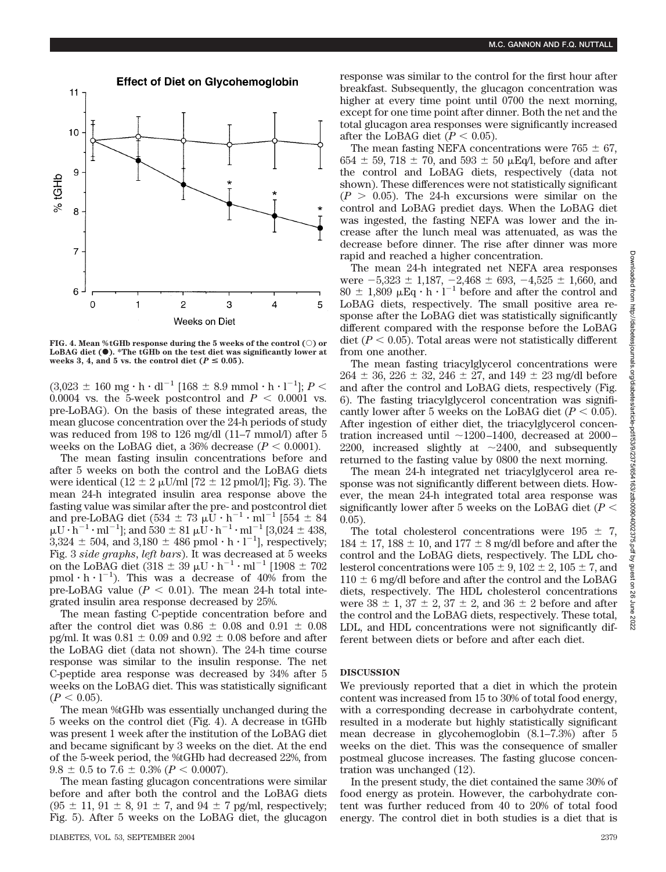

FIG. 4. Mean %tGHb response during the 5 weeks of the control ( $\odot$ ) or LoBAG diet ( $\bullet$ ). \*The tGHb on the test diet was significantly lower at weeks 3, 4, and 5 vs. the control diet  $(P \le 0.05)$ .

 $(3,023 \pm 160 \text{ mg} \cdot \text{h} \cdot \text{dl}^{-1} [168 \pm 8.9 \text{ mmol} \cdot \text{h} \cdot \text{l}^{-1}]; P <$ 0.0004 vs. the 5-week postcontrol and  $P < 0.0001$  vs. pre-LoBAG). On the basis of these integrated areas, the mean glucose concentration over the 24-h periods of study was reduced from 198 to 126 mg/dl (11–7 mmol/l) after 5 weeks on the LoBAG diet, a 36% decrease  $(P < 0.0001)$ .

The mean fasting insulin concentrations before and after 5 weeks on both the control and the LoBAG diets were identical (12  $\pm$  2  $\mu$ U/ml [72  $\pm$  12 pmol/l]; Fig. 3). The mean 24-h integrated insulin area response above the fasting value was similar after the pre- and postcontrol diet and pre-LoBAG diet (534  $\pm$  73  $\mu$ U  $\cdot$  h<sup>-1</sup>  $\cdot$  ml<sup>-1</sup> [554  $\pm$  84  $\mu$ U  $\cdot$  h<sup>-1</sup>  $\cdot$  ml<sup>-1</sup>]; and 530  $\pm$  81  $\mu$ U  $\cdot$  h<sup>-1</sup> $\cdot$  ml<sup>-1</sup> [3,024  $\pm$  438,  $3,324 \pm 504$ , and  $3,180 \pm 486$  pmol  $\cdot$  h  $\cdot$  l<sup>-1</sup>], respectively; Fig. 3 *side graphs*, *left bars*). It was decreased at 5 weeks on the LoBAG diet (318  $\pm$  39  $\mu$ U  $\cdot$  h<sup>-1</sup>  $\cdot$  ml<sup>-1</sup> [1908  $\pm$  702 pmol  $\cdot$  h  $\cdot$  l<sup>-1</sup>). This was a decrease of 40% from the pre-LoBAG value  $(P < 0.01)$ . The mean 24-h total integrated insulin area response decreased by 25%.

The mean fasting C-peptide concentration before and after the control diet was  $0.86 \pm 0.08$  and  $0.91 \pm 0.08$ pg/ml. It was  $0.81 \pm 0.09$  and  $0.92 \pm 0.08$  before and after the LoBAG diet (data not shown). The 24-h time course response was similar to the insulin response. The net C-peptide area response was decreased by 34% after 5 weeks on the LoBAG diet. This was statistically significant  $(P < 0.05)$ .

The mean %tGHb was essentially unchanged during the 5 weeks on the control diet (Fig. 4). A decrease in tGHb was present 1 week after the institution of the LoBAG diet and became significant by 3 weeks on the diet. At the end of the 5-week period, the %tGHb had decreased 22%, from  $9.8 \pm 0.5$  to  $7.6 \pm 0.3\%$  ( $P < 0.0007$ ).

The mean fasting glucagon concentrations were similar before and after both the control and the LoBAG diets  $(95 \pm 11, 91 \pm 8, 91 \pm 7, \text{ and } 94 \pm 7 \text{ pg/ml}, \text{ respectively};$ Fig. 5). After 5 weeks on the LoBAG diet, the glucagon response was similar to the control for the first hour after breakfast. Subsequently, the glucagon concentration was higher at every time point until 0700 the next morning, except for one time point after dinner. Both the net and the total glucagon area responses were significantly increased after the LoBAG diet  $(P < 0.05)$ .

The mean fasting NEFA concentrations were  $765 \pm 67$ ,  $654 \pm 59$ ,  $718 \pm 70$ , and  $593 \pm 50$   $\mu$ Eq/l, before and after the control and LoBAG diets, respectively (data not shown). These differences were not statistically significant  $(P > 0.05)$ . The 24-h excursions were similar on the control and LoBAG prediet days. When the LoBAG diet was ingested, the fasting NEFA was lower and the increase after the lunch meal was attenuated, as was the decrease before dinner. The rise after dinner was more rapid and reached a higher concentration.

The mean 24-h integrated net NEFA area responses were  $-5,323 \pm 1,187, -2,468 \pm 693, -4,525 \pm 1,660$ , and  $80 \pm 1,809 \mu$ Eq  $\cdot$  h  $\cdot$  l<sup>-1</sup> before and after the control and LoBAG diets, respectively. The small positive area response after the LoBAG diet was statistically significantly different compared with the response before the LoBAG diet  $(P < 0.05)$ . Total areas were not statistically different from one another.

The mean fasting triacylglycerol concentrations were  $264 \pm 36$ ,  $226 \pm 32$ ,  $246 \pm 27$ , and  $149 \pm 23$  mg/dl before and after the control and LoBAG diets, respectively (Fig. 6). The fasting triacylglycerol concentration was significantly lower after 5 weeks on the LoBAG diet  $(P < 0.05)$ . After ingestion of either diet, the triacylglycerol concentration increased until  $\sim$ 1200–1400, decreased at 2000– 2200, increased slightly at  $\sim$  2400, and subsequently returned to the fasting value by 0800 the next morning.

The mean 24-h integrated net triacylglycerol area response was not significantly different between diets. However, the mean 24-h integrated total area response was significantly lower after 5 weeks on the LoBAG diet  $(P \leq$ 0.05).

The total cholesterol concentrations were  $195 \pm 7$ ,  $184 \pm 17$ ,  $188 \pm 10$ , and  $177 \pm 8$  mg/dl before and after the control and the LoBAG diets, respectively. The LDL cholesterol concentrations were  $105 \pm 9$ ,  $102 \pm 2$ ,  $105 \pm 7$ , and  $110 \pm 6$  mg/dl before and after the control and the LoBAG diets, respectively. The HDL cholesterol concentrations were  $38 \pm 1$ ,  $37 \pm 2$ ,  $37 \pm 2$ , and  $36 \pm 2$  before and after the control and the LoBAG diets, respectively. These total, LDL, and HDL concentrations were not significantly different between diets or before and after each diet.

## **DISCUSSION**

We previously reported that a diet in which the protein content was increased from 15 to 30% of total food energy, with a corresponding decrease in carbohydrate content, resulted in a moderate but highly statistically significant mean decrease in glycohemoglobin (8.1–7.3%) after 5 weeks on the diet. This was the consequence of smaller postmeal glucose increases. The fasting glucose concentration was unchanged (12).

In the present study, the diet contained the same 30% of food energy as protein. However, the carbohydrate content was further reduced from 40 to 20% of total food energy. The control diet in both studies is a diet that is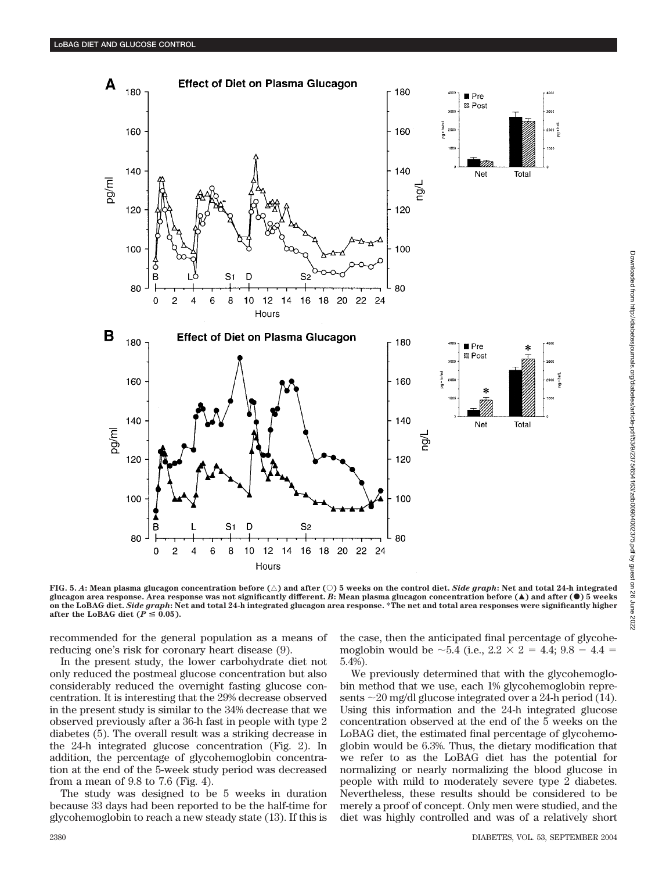

**FIG. 5.** A: Mean plasma glucagon concentration before  $(\triangle)$  and after  $(\heartsuit)$  5 weeks on the control diet. Side graph: Net and total 24-h integrated **glucagon area response. Area response was not significantly different.** *B***: Mean plasma glucagon concentration before (**Œ**) and after (**F**) 5 weeks on the LoBAG diet.** *Side graph***: Net and total 24-h integrated glucagon area response. \*The net and total area responses were significantly higher after the LoBAG diet (** $P \leq 0.05$ **).** 

recommended for the general population as a means of reducing one's risk for coronary heart disease (9).

In the present study, the lower carbohydrate diet not only reduced the postmeal glucose concentration but also considerably reduced the overnight fasting glucose concentration. It is interesting that the 29% decrease observed in the present study is similar to the 34% decrease that we observed previously after a 36-h fast in people with type 2 diabetes (5). The overall result was a striking decrease in the 24-h integrated glucose concentration (Fig. 2). In addition, the percentage of glycohemoglobin concentration at the end of the 5-week study period was decreased from a mean of 9.8 to 7.6 (Fig. 4).

The study was designed to be 5 weeks in duration because 33 days had been reported to be the half-time for glycohemoglobin to reach a new steady state (13). If this is the case, then the anticipated final percentage of glycohemoglobin would be  $\sim$  5.4 (i.e., 2.2  $\times$  2 = 4.4; 9.8 - 4.4 = 5.4%).

We previously determined that with the glycohemoglobin method that we use, each 1% glycohemoglobin represents  $\sim$  20 mg/dl glucose integrated over a 24-h period (14). Using this information and the 24-h integrated glucose concentration observed at the end of the 5 weeks on the LoBAG diet, the estimated final percentage of glycohemoglobin would be 6.3%. Thus, the dietary modification that we refer to as the LoBAG diet has the potential for normalizing or nearly normalizing the blood glucose in people with mild to moderately severe type 2 diabetes. Nevertheless, these results should be considered to be merely a proof of concept. Only men were studied, and the diet was highly controlled and was of a relatively short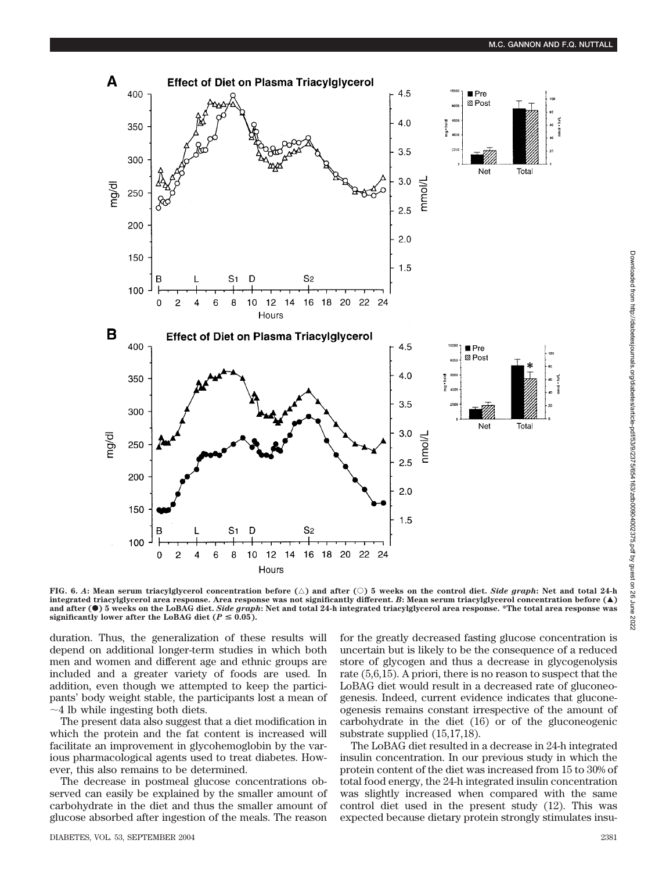

**FIG. 6.** *A***: Mean serum triacylglycerol concentration before (**'**) and after (**E**) 5 weeks on the control diet.** *Side graph***: Net and total 24-h integrated triacylglycerol area response. Area response was not significantly different.** *B***: Mean serum triacylglycerol concentration before (**Œ**) and after (**F**) 5 weeks on the LoBAG diet.** *Side graph***: Net and total 24-h integrated triacylglycerol area response. \*The total area response was** significantly lower after the LoBAG diet ( $P \leq 0.05$ ).

duration. Thus, the generalization of these results will depend on additional longer-term studies in which both men and women and different age and ethnic groups are included and a greater variety of foods are used. In addition, even though we attempted to keep the participants' body weight stable, the participants lost a mean of  $\sim$ 4 lb while ingesting both diets.

The present data also suggest that a diet modification in which the protein and the fat content is increased will facilitate an improvement in glycohemoglobin by the various pharmacological agents used to treat diabetes. However, this also remains to be determined.

The decrease in postmeal glucose concentrations observed can easily be explained by the smaller amount of carbohydrate in the diet and thus the smaller amount of glucose absorbed after ingestion of the meals. The reason

for the greatly decreased fasting glucose concentration is uncertain but is likely to be the consequence of a reduced store of glycogen and thus a decrease in glycogenolysis rate (5,6,15). A priori, there is no reason to suspect that the LoBAG diet would result in a decreased rate of gluconeogenesis. Indeed, current evidence indicates that gluconeogenesis remains constant irrespective of the amount of carbohydrate in the diet (16) or of the gluconeogenic substrate supplied (15,17,18).

The LoBAG diet resulted in a decrease in 24-h integrated insulin concentration. In our previous study in which the protein content of the diet was increased from 15 to 30% of total food energy, the 24-h integrated insulin concentration was slightly increased when compared with the same control diet used in the present study (12). This was expected because dietary protein strongly stimulates insu